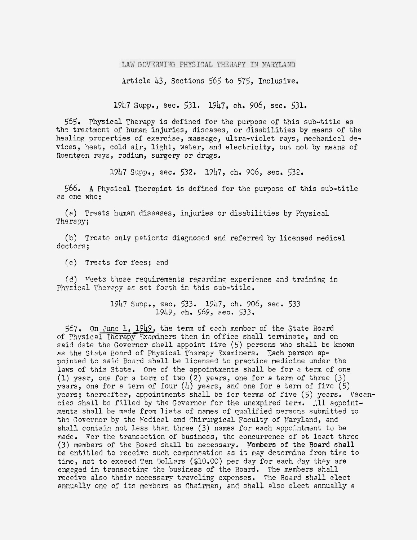## LAW GOVERNING PHYSICAL THERAPY IN MARYLAND

Article 43, Sections 565 to 575, Inclusive.

19b7 **~upp.,** sec. 531. 1947, ch. 906, seca 531-

*565.* Physical Therapy is defined for the purpose of this sub-title as the treatment of hman injuries, diseases, or disabilities by means of the healing properties of exercise, massage, ultra-violet rays, mechanical devices, heat, cold air, light, water, and electricity, but not by means of Roentgen rays, radian, surgery or drugs.

1947 Suppa, sec. 532. 1947, ch. 906, sec. 532.

566. **A** Physical Therapist is defined for the purpose of this sub-title 2s one who:

**(3)** Treats human diseases, injuries or disabilities by Physical Therapy;

(b) Treats only petients diagnosed and referred by licensed medical dcctors;

(c) Treats for fees; and

 $(d)$  Meets those requirements regarding experience and training in Physical Therapy as set forth in this sub-title.

> 1947 Supp., sec. 533. 1947, ch. 906, sec. 533 19bY4 ch. 569, sec. 533.

567. On June 1, 1949, the term of each member of the State Board of Physical Therapy Examiners then in office shall terminate, and on said dete the Governor shall appoint five  $(5)$  persons who shall be known as the State Board of Physical Therapy Txaminers. Tach person appointed to said Board sha1.l be licensed to practice medicine under the laws of this State. One of the appointments shall be for a term of one (1) year, one for a term of two  $(2)$  years, one for a term of three  $(3)$ years, one for a term of four  $(4)$  years, and one for a term of five  $(5)$ years; thereafter, appointments shall be for terms of five (5) years. Vacancies shall be filled by the Governor for the unexpired term. : 11 appointments shall be made from lists of names of qualified persons submitted to the Governor by the Medical and Chirurgical Faculty of Maryland, and shall contain not less than three (3) names for each appointment to be made. For the transaction of business, the concurrence of at least three (3) members of the Board shall be necessary. Members of the Board shall be entitled to receive such compensation as it nay determine from time to time, not to exceed Ten Dollars (\$10.00) per day for each day they are engeged in transacting the business of the Board. The members shall receive also their necessary traveling expenses. The Board shall elect annually one of its members as Chairman, and shall also elect annually a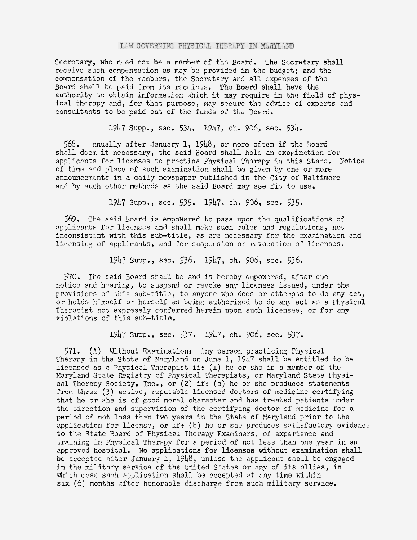## LAW GOVERNING PHYSICAL THERAPY IN MARYLAND

Secretary, who need not be a member of the Board. The Secretary shall receive such compensation as may be provided in the budget; and the compensation of the members, the Secretary and all expenses of the Board shall be paid from its reccipts. The Board shall have the authority to obtain information which it may require in the field of physical therapy and, for that purpose, may secure the advice of experts and consultants to be paid out of the funds of the Board.

1947 Supp., sec. 534. 1947, ch. 906, sec. 534.

565. 'nnually after January 1, 1948, or more often if the Board shall deem it necessary, the said Board shall hold an examination for applicents for licenses to practice Physical Therapy in this State. Notice of time and place of such examination shall be given by one or more announcemonts in a daily newspaper published in the City of Baltimore and by such other methods as the said Board may see fit to use.

1347 Supp., sec. 535. 1947, ch. 905, sec. 535.

569. The said Board is empowered to pass upon the qualifications of applicants for licenses and shall make such rules and regulations, not inconsistent with this sub-title, as are necessary for the examination and licensing of applicants, and for suspension or revocation of licenses.

1947 Supp., sec. 536. 1947, ch. 906, sec. 536.

570. The said Board shall be and is hereby empowered, after due notice and hearing, to suspend or revoke any licenses issued, under the provisions of this sub-title, to anyonc vho docs or attempts to do any act, or holds himself or herself as being authorized to do any act as a Physical Therapist not expressly conferred herein upon such licensee, or for any violations of this sub-title.

19k7 Supp., sec. 537. 1947, ch. 906, sec. 537.

 $571.$  (A) Without Examination: iny person practicing Physical Therapy in the State of Maryland on June 1, 1947 shall be entitled to be liccnsed as a Physical Therapist if:  $(1)$  he or she is a member of the Maryland State Zegistry of Physical Therapists, or Maryland State Physical Therapy Society, Inc., or  $(2)$  if:  $(a)$  he or she produces statements from three (3) active, reputabls licensed doctors of medicine certifying that he or she is of good moral character and has treated patients under the direction 2nd supervision of the certifying doctor of medicine for a period of not less then two years in the State of Maryland prior to the application for license, or if: (b) he or she produces satisfactory evidence to the State Board of Physical Therapy Examiners, of experience and iraining in Physical Therapy for a period of not less than one yaar in an approved hospital. No applications for licenses without examination shall be accepted after January 1, 1948, unlass the applicant shall be engaged in the military service of the United States or any of its allies, in which case such application shall be accepted at any time within six (6) months after honorable discharge from such military service.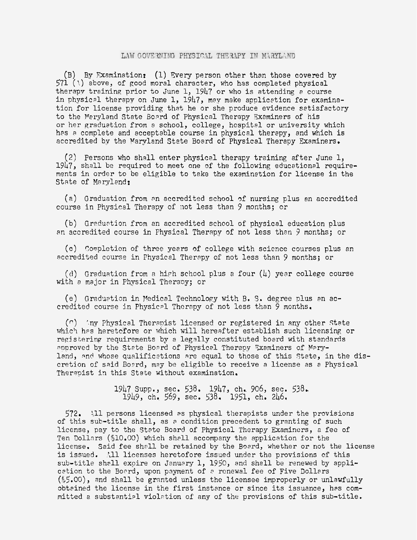## LAW GOVERNING PHYSICAL THERAPY IN MARYLAND

(B) By Examination? (1) Rvery person other than those covered by 571 (\) above, of good moral character, who has completed physical therapy training prior to June 1,  $1947$  or who is attending a course in physical therapy on June 1,  $1947$ , may make application for examination for license providing that he or she produce evidence setisfactory to the Maryland State Board of Physical Therapy Examiners of his or her graduation from a school, college, hospital or university which hes a complete and acceptable course in physical therapy, and which is accredited bv the Maryland Stete Board of Physical Therapy Examiners.

(2) Persons who shall enter physical therapy training after June 1, 1947, shall be required to meet one of the following educational requirements in order to be eligible to take the examination for license in the State of Maryland:

(a) Graduation from an accredited school of nursing plus an accredited course in Physical Therapy of not less than 9 months; or

(b) Graduation from an accredited school of physical education plus an accredited course in Fhysical Therapy of not less than 3 months; or

(o) Soopletion of three yeers of college with science courses plus an accredited course in Physical Therapy of not less than 9 months; or

(tl) Graduation fron **n** hiph school plus a four (4) year college course with a major in Physical Therapy; or

(e) Graduation in Medical Technology with B. S. degree plus an accredited course in Physical Therapy of not less than 9 months.

 $(n)$  : 'ny Physical Therapist licensed or registered in any other State which has heretcfore or which will hereafter establish such licensing or recisterinp requirements by a legally constituted board with standards approved by the State Board of Physical Therapy Txaminers of Maryland, and whose qualifications are equal to those of this State, in the discretion of said Board, may be eligible to receive a license as a Physical Therapist in this State without examination.

> 1947 Supp., sec. 538. 1947, ch.. 906, sec. 538. 1949, ch. 569, sec. 538. 1951, ch. 246,

572. 11 persons licensed as physical therapists under the provisions of this sub-title shall, as a condition precedent to granting of such license, pay to the State Board of Physical Therapy Sxamincrs, a fee of Ten Dollars (\$10.00) which shall accompany the application for the license. Said fee shall be retained by the Board, whether or not the license is issued. All licenses heretofore issued under the provisions of this sub-title shall expire on January 1, 1950, and shall be renewed by application to the Board, upon payment of a renewal fee of Five Dollars  $(*5.00)$ , and shall be granted unless the licensee improperly or unlawfully obtained the license in the first instance or since its issuance, has committed a substantial violation of any of the provisions of this sub-title.